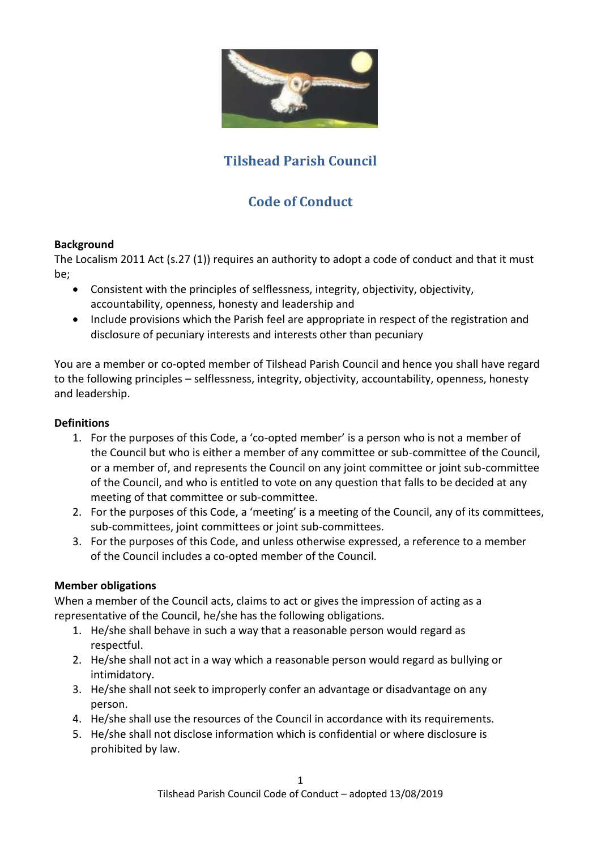

# **Tilshead Parish Council**

# **Code of Conduct**

#### **Background**

The Localism 2011 Act (s.27 (1)) requires an authority to adopt a code of conduct and that it must be;

- Consistent with the principles of selflessness, integrity, objectivity, objectivity, accountability, openness, honesty and leadership and
- Include provisions which the Parish feel are appropriate in respect of the registration and disclosure of pecuniary interests and interests other than pecuniary

You are a member or co-opted member of Tilshead Parish Council and hence you shall have regard to the following principles – selflessness, integrity, objectivity, accountability, openness, honesty and leadership.

### **Definitions**

- 1. For the purposes of this Code, a 'co-opted member' is a person who is not a member of the Council but who is either a member of any committee or sub-committee of the Council, or a member of, and represents the Council on any joint committee or joint sub-committee of the Council, and who is entitled to vote on any question that falls to be decided at any meeting of that committee or sub-committee.
- 2. For the purposes of this Code, a 'meeting' is a meeting of the Council, any of its committees, sub-committees, joint committees or joint sub-committees.
- 3. For the purposes of this Code, and unless otherwise expressed, a reference to a member of the Council includes a co-opted member of the Council.

#### **Member obligations**

When a member of the Council acts, claims to act or gives the impression of acting as a representative of the Council, he/she has the following obligations.

- 1. He/she shall behave in such a way that a reasonable person would regard as respectful.
- 2. He/she shall not act in a way which a reasonable person would regard as bullying or intimidatory.
- 3. He/she shall not seek to improperly confer an advantage or disadvantage on any person.
- 4. He/she shall use the resources of the Council in accordance with its requirements.
- 5. He/she shall not disclose information which is confidential or where disclosure is prohibited by law.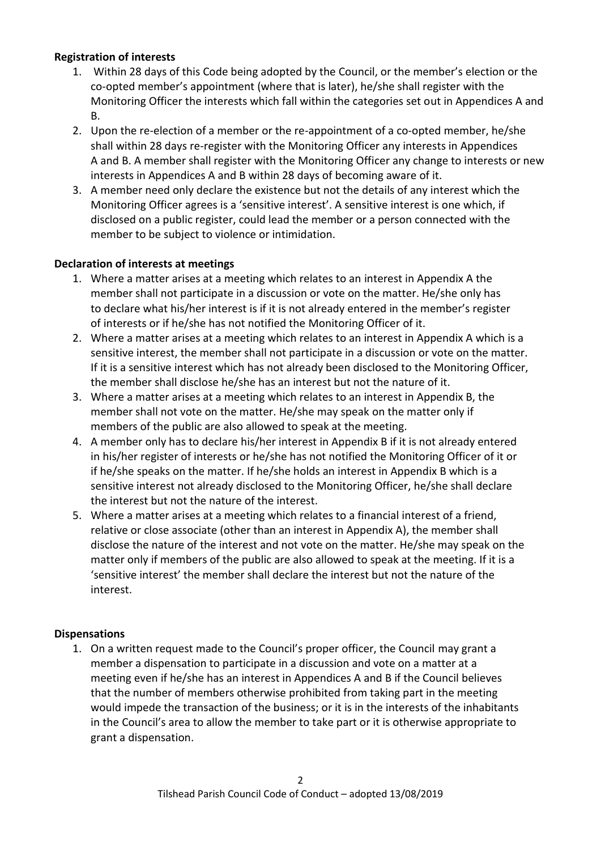#### **Registration of interests**

- 1. Within 28 days of this Code being adopted by the Council, or the member's election or the co-opted member's appointment (where that is later), he/she shall register with the Monitoring Officer the interests which fall within the categories set out in Appendices A and B.
- 2. Upon the re-election of a member or the re-appointment of a co-opted member, he/she shall within 28 days re-register with the Monitoring Officer any interests in Appendices A and B. A member shall register with the Monitoring Officer any change to interests or new interests in Appendices A and B within 28 days of becoming aware of it.
- 3. A member need only declare the existence but not the details of any interest which the Monitoring Officer agrees is a 'sensitive interest'. A sensitive interest is one which, if disclosed on a public register, could lead the member or a person connected with the member to be subject to violence or intimidation.

#### **Declaration of interests at meetings**

- 1. Where a matter arises at a meeting which relates to an interest in Appendix A the member shall not participate in a discussion or vote on the matter. He/she only has to declare what his/her interest is if it is not already entered in the member's register of interests or if he/she has not notified the Monitoring Officer of it.
- 2. Where a matter arises at a meeting which relates to an interest in Appendix A which is a sensitive interest, the member shall not participate in a discussion or vote on the matter. If it is a sensitive interest which has not already been disclosed to the Monitoring Officer, the member shall disclose he/she has an interest but not the nature of it.
- 3. Where a matter arises at a meeting which relates to an interest in Appendix B, the member shall not vote on the matter. He/she may speak on the matter only if members of the public are also allowed to speak at the meeting.
- 4. A member only has to declare his/her interest in Appendix B if it is not already entered in his/her register of interests or he/she has not notified the Monitoring Officer of it or if he/she speaks on the matter. If he/she holds an interest in Appendix B which is a sensitive interest not already disclosed to the Monitoring Officer, he/she shall declare the interest but not the nature of the interest.
- 5. Where a matter arises at a meeting which relates to a financial interest of a friend, relative or close associate (other than an interest in Appendix A), the member shall disclose the nature of the interest and not vote on the matter. He/she may speak on the matter only if members of the public are also allowed to speak at the meeting. If it is a 'sensitive interest' the member shall declare the interest but not the nature of the interest.

#### **Dispensations**

1. On a written request made to the Council's proper officer, the Council may grant a member a dispensation to participate in a discussion and vote on a matter at a meeting even if he/she has an interest in Appendices A and B if the Council believes that the number of members otherwise prohibited from taking part in the meeting would impede the transaction of the business; or it is in the interests of the inhabitants in the Council's area to allow the member to take part or it is otherwise appropriate to grant a dispensation.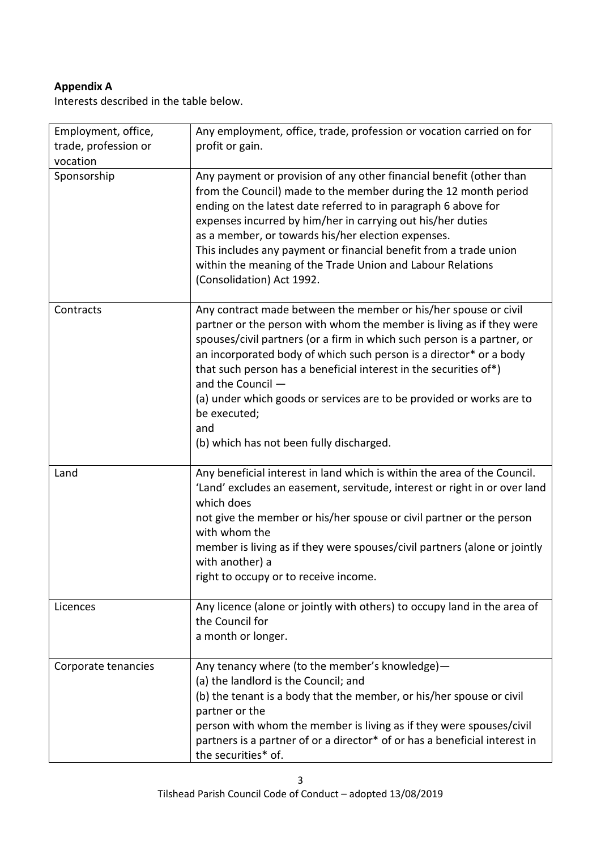## **Appendix A**

Interests described in the table below.

| Employment, office,<br>trade, profession or<br>vocation | Any employment, office, trade, profession or vocation carried on for<br>profit or gain.                                                                                                                                                                                                                                                                                                                                                                                                                                       |
|---------------------------------------------------------|-------------------------------------------------------------------------------------------------------------------------------------------------------------------------------------------------------------------------------------------------------------------------------------------------------------------------------------------------------------------------------------------------------------------------------------------------------------------------------------------------------------------------------|
| Sponsorship                                             | Any payment or provision of any other financial benefit (other than<br>from the Council) made to the member during the 12 month period<br>ending on the latest date referred to in paragraph 6 above for<br>expenses incurred by him/her in carrying out his/her duties<br>as a member, or towards his/her election expenses.<br>This includes any payment or financial benefit from a trade union<br>within the meaning of the Trade Union and Labour Relations<br>(Consolidation) Act 1992.                                 |
| Contracts                                               | Any contract made between the member or his/her spouse or civil<br>partner or the person with whom the member is living as if they were<br>spouses/civil partners (or a firm in which such person is a partner, or<br>an incorporated body of which such person is a director* or a body<br>that such person has a beneficial interest in the securities of*)<br>and the Council -<br>(a) under which goods or services are to be provided or works are to<br>be executed;<br>and<br>(b) which has not been fully discharged. |
| Land                                                    | Any beneficial interest in land which is within the area of the Council.<br>'Land' excludes an easement, servitude, interest or right in or over land<br>which does<br>not give the member or his/her spouse or civil partner or the person<br>with whom the<br>member is living as if they were spouses/civil partners (alone or jointly<br>with another) a<br>right to occupy or to receive income.                                                                                                                         |
| Licences                                                | Any licence (alone or jointly with others) to occupy land in the area of<br>the Council for<br>a month or longer.                                                                                                                                                                                                                                                                                                                                                                                                             |
| Corporate tenancies                                     | Any tenancy where (to the member's knowledge)-<br>(a) the landlord is the Council; and<br>(b) the tenant is a body that the member, or his/her spouse or civil<br>partner or the<br>person with whom the member is living as if they were spouses/civil<br>partners is a partner of or a director* of or has a beneficial interest in<br>the securities* of.                                                                                                                                                                  |